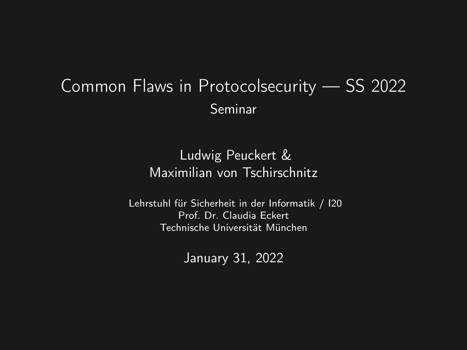## Common Flaws in Protocolsecurity — SS 2022 Seminar

#### Ludwig Peuckert & Maximilian von Tschirschnitz

Lehrstuhl für Sicherheit in der Informatik / I20 Prof. Dr. Claudia Eckert Technische Universität München

January 31, 2022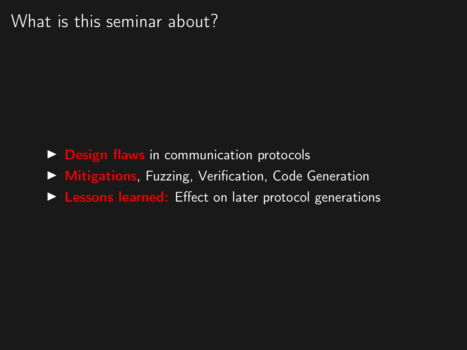## What is this seminar about?

▶ **Design flaws** in communication protocols ▶ Mitigations, Fuzzing, Verification, Code Generation ▶ Lessons learned: Effect on later protocol generations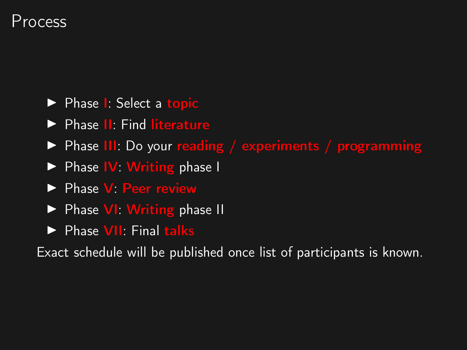#### Process

- ▶ Phase I: Select a topic
- ▶ Phase II: Find literature
- ▶ Phase III: Do your reading / experiments / programming
- ▶ Phase IV: Writing phase I
- ▶ Phase **V**: Peer review
- ▶ Phase **VI: Writing** phase II
- ▶ Phase **VII**: Final talks

Exact schedule will be published once list of participants is known.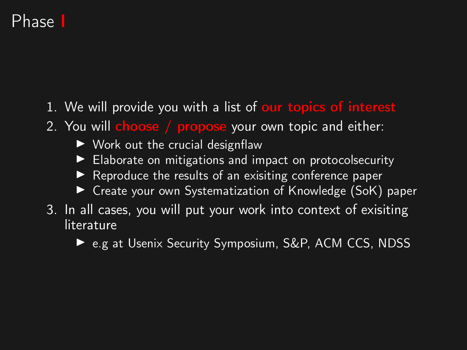#### Phase I

- 1. We will provide you with a list of our topics of interest
- 2. You will choose / propose your own topic and either:
	- $\triangleright$  Work out the crucial designflaw
	- ▶ Elaborate on mitigations and impact on protocolsecurity
	- ▶ Reproduce the results of an exisiting conference paper
	- ▶ Create your own Systematization of Knowledge (SoK) paper
- 3. In all cases, you will put your work into context of exisiting literature
	- ▶ e.g at Usenix Security Symposium, S&P, ACM CCS, NDSS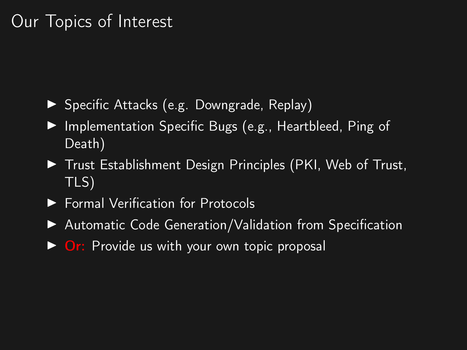## Our Topics of Interest

- ▶ Specific Attacks (e.g. Downgrade, Replay)
- ▶ Implementation Specific Bugs (e.g., Heartbleed, Ping of Death)
- ▶ Trust Establishment Design Principles (PKI, Web of Trust, TLS)
- ▶ Formal Verification for Protocols
- ▶ Automatic Code Generation/Validation from Specification
- ▶ **Or:** Provide us with your own topic proposal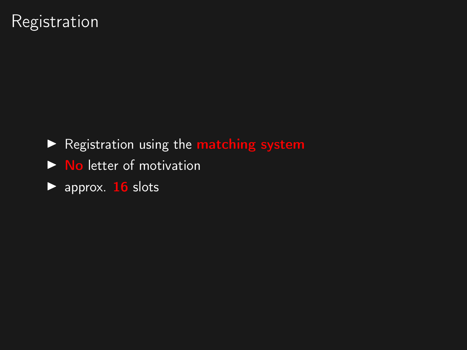### Registration

- $\triangleright$  Registration using the **matching system**
- $\triangleright$  No letter of motivation
- ▶ approx. 16 slots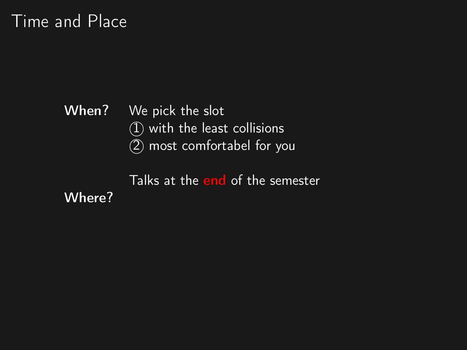Time and Place

When? We pick the slot  $(1)$  with the least collisions ○2 most comfortabel for you

Talks at the end of the semester Where?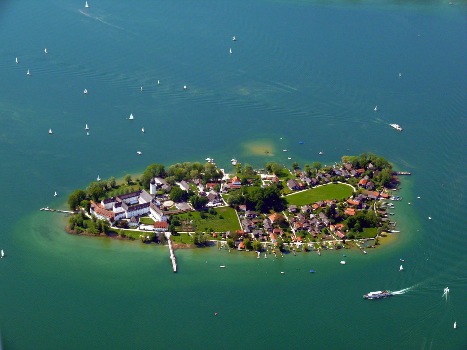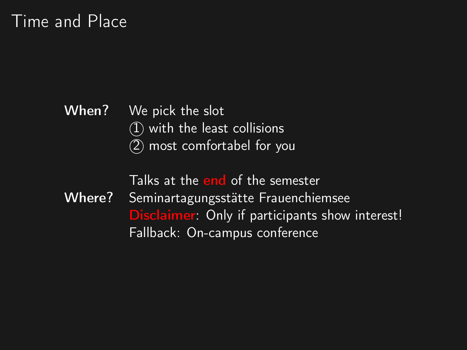#### Time and Place

When? We pick the slot  $(1)$  with the least collisions ○2 most comfortabel for you

Talks at the **end** of the semester

Where? Seminartagungsstätte Frauenchiemsee Disclaimer: Only if participants show interest! Fallback: On-campus conference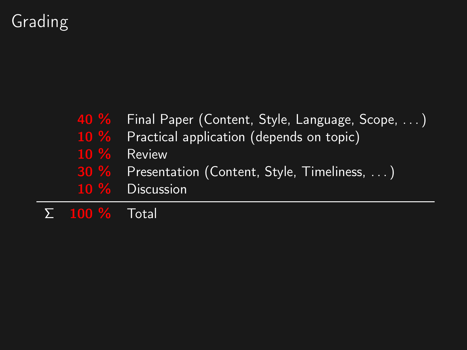## Grading

#### 40 % Final Paper (Content, Style, Language, Scope, ...)

- 10 % Practical application (depends on topic)
- 10 % Review
- 30 % Presentation (Content, Style, Timeliness, ...)
- 10 % Discussion

Σ 100 % Total